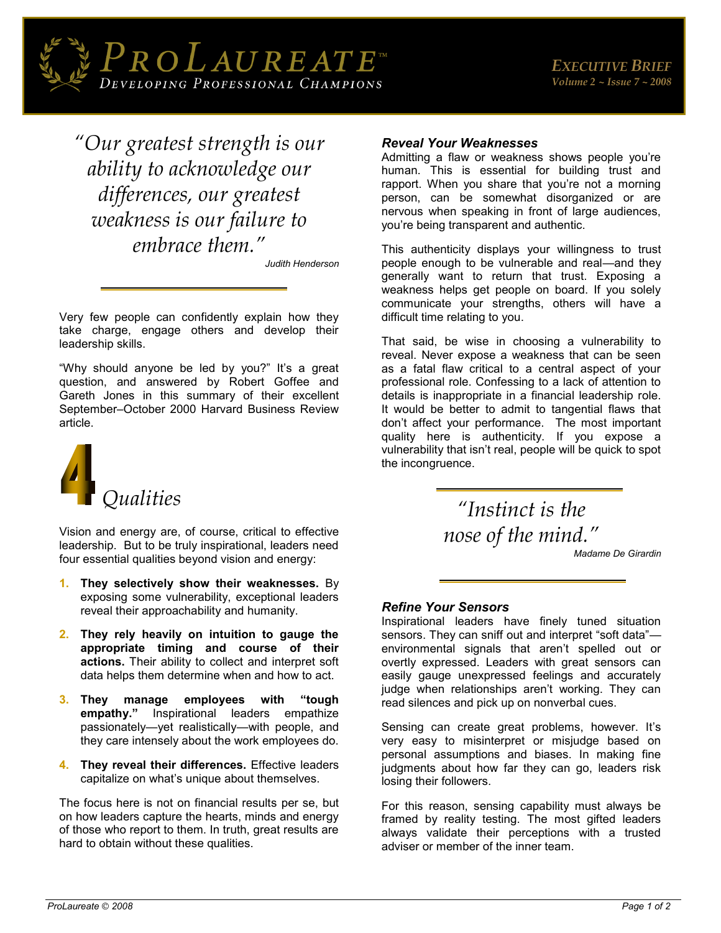

*"Our greatest strength is our ability to acknowledge our differences, our greatest weakness is our failure to embrace them."*

*Judith Henderson* 

Very few people can confidently explain how they take charge, engage others and develop their leadership skills.

"Why should anyone be led by you?" It's a great question, and answered by Robert Goffee and Gareth Jones in this summary of their excellent September–October 2000 Harvard Business Review article.



Vision and energy are, of course, critical to effective leadership. But to be truly inspirational, leaders need four essential qualities beyond vision and energy:

- **1. They selectively show their weaknesses.** By exposing some vulnerability, exceptional leaders reveal their approachability and humanity.
- **2. They rely heavily on intuition to gauge the appropriate timing and course of their actions.** Their ability to collect and interpret soft data helps them determine when and how to act.
- **3. They manage employees with "tough empathy."** Inspirational leaders empathize passionately—yet realistically—with people, and they care intensely about the work employees do.
- **4. They reveal their differences.** Effective leaders capitalize on what's unique about themselves.

The focus here is not on financial results per se, but on how leaders capture the hearts, minds and energy of those who report to them. In truth, great results are hard to obtain without these qualities.

# *Reveal Your Weaknesses*

Admitting a flaw or weakness shows people you're human. This is essential for building trust and rapport. When you share that you're not a morning person, can be somewhat disorganized or are nervous when speaking in front of large audiences, you're being transparent and authentic.

This authenticity displays your willingness to trust people enough to be vulnerable and real—and they generally want to return that trust. Exposing a weakness helps get people on board. If you solely communicate your strengths, others will have a difficult time relating to you.

That said, be wise in choosing a vulnerability to reveal. Never expose a weakness that can be seen as a fatal flaw critical to a central aspect of your professional role. Confessing to a lack of attention to details is inappropriate in a financial leadership role. It would be better to admit to tangential flaws that don't affect your performance. The most important quality here is authenticity. If you expose a vulnerability that isn't real, people will be quick to spot the incongruence.

> *"Instinct is the nose of the mind."*

*[Madame De Girardin](http://www.wisdomquotes.com/003556.html)*

## *Refine Your Sensors*

Inspirational leaders have finely tuned situation sensors. They can sniff out and interpret "soft data" environmental signals that aren't spelled out or overtly expressed. Leaders with great sensors can easily gauge unexpressed feelings and accurately judge when relationships aren't working. They can read silences and pick up on nonverbal cues.

Sensing can create great problems, however. It's very easy to misinterpret or misjudge based on personal assumptions and biases. In making fine judgments about how far they can go, leaders risk losing their followers.

For this reason, sensing capability must always be framed by reality testing. The most gifted leaders always validate their perceptions with a trusted adviser or member of the inner team.